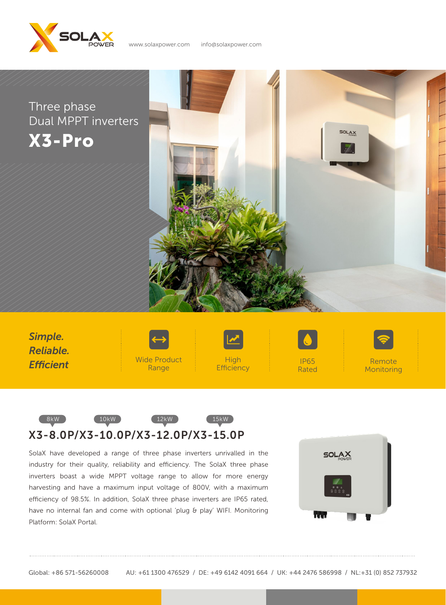

X3-Pro Three phase Dual MPPT inverters



High **Efficiency** Wide Product Range Remote Monitoring IP65 Rated *Simple. Reliable. Efficient*

www.solaxpower.com info@solaxpower.com



SolaX have developed a range of three phase inverters unrivalled in the industry for their quality, reliability and efficiency. The SolaX three phase inverters boast a wide MPPT voltage range to allow for more energy harvesting and have a maximum input voltage of 800V, with a maximum efficiency of 98.5%. In addition, SolaX three phase inverters are IP65 rated, have no internal fan and come with optional 'plug & play' WIFI. Monitoring Platform: SolaX Portal.